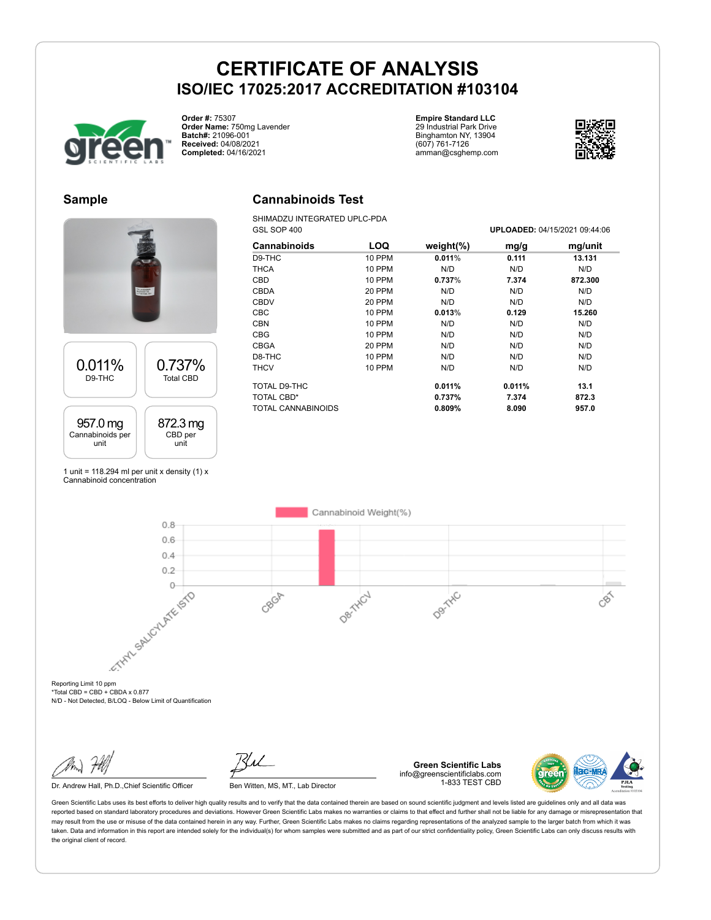

**Order #:** 75307 **Order Name:** 750mg Lavender **Batch#:** 21096-001 **Received:** 04/08/2021 **Completed:** 04/16/2021

**Empire Standard LLC** 29 Industrial Park Drive Binghamton NY, 13904 (607) 761-7126 amman@csghemp.com



#### **Sample**

#### **Cannabinoids Test**

SHIMADZU INTEGRATED UPLC-PDA

|                  | <b>KITMOE</b>    |
|------------------|------------------|
| 0.011%           | 0.737%           |
| D9-THC           | <b>Total CBD</b> |
| 957.0 mg         | 872.3 mg         |
| Cannabinoids per | CBD per          |
| unit             | unit             |

1 unit = 118.294 ml per unit x density  $(1)$  x Cannabinoid concentration

| GSL SOP 400               |               |               |        | UPLOADED: 04/15/2021 09:44:06 |
|---------------------------|---------------|---------------|--------|-------------------------------|
| Cannabinoids              | LOQ           | weight $(\%)$ | mg/g   | mg/unit                       |
| D9-THC                    | 10 PPM        | 0.011%        | 0.111  | 13.131                        |
| <b>THCA</b>               | <b>10 PPM</b> | N/D           | N/D    | N/D                           |
| <b>CBD</b>                | 10 PPM        | 0.737%        | 7.374  | 872.300                       |
| CBDA                      | <b>20 PPM</b> | N/D           | N/D    | N/D                           |
| <b>CBDV</b>               | 20 PPM        | N/D           | N/D    | N/D                           |
| <b>CBC</b>                | 10 PPM        | 0.013%        | 0.129  | 15.260                        |
| <b>CBN</b>                | <b>10 PPM</b> | N/D           | N/D    | N/D                           |
| <b>CBG</b>                | 10 PPM        | N/D           | N/D    | N/D                           |
| CBGA                      | <b>20 PPM</b> | N/D           | N/D    | N/D                           |
| D8-THC                    | <b>10 PPM</b> | N/D           | N/D    | N/D                           |
| <b>THCV</b>               | 10 PPM        | N/D           | N/D    | N/D                           |
| TOTAL D9-THC              |               | 0.011%        | 0.011% | 13.1                          |
| TOTAL CBD*                |               | 0.737%        | 7.374  | 872.3                         |
| <b>TOTAL CANNABINOIDS</b> |               | 0.809%        | 8.090  | 957.0                         |

Cannabinoid Weight(%)  $0.8$  $0.6$  $0.4$  $0.2$ Reporting Limit 10 ppm  $\overline{0}$ DertHCJ Denitivo CBOR CBS

 $*Total CBD = CBD + CBDA \times 0.877$ N/D - Not Detected, B/LOQ - Below Limit of Quantification

Dr. Andrew Hall, Ph.D., Chief Scientific Officer Ben Witten, MS, MT., Lab Director



**Green Scientific Labs** info@greenscientificlabs.com 1-833 TEST CBD

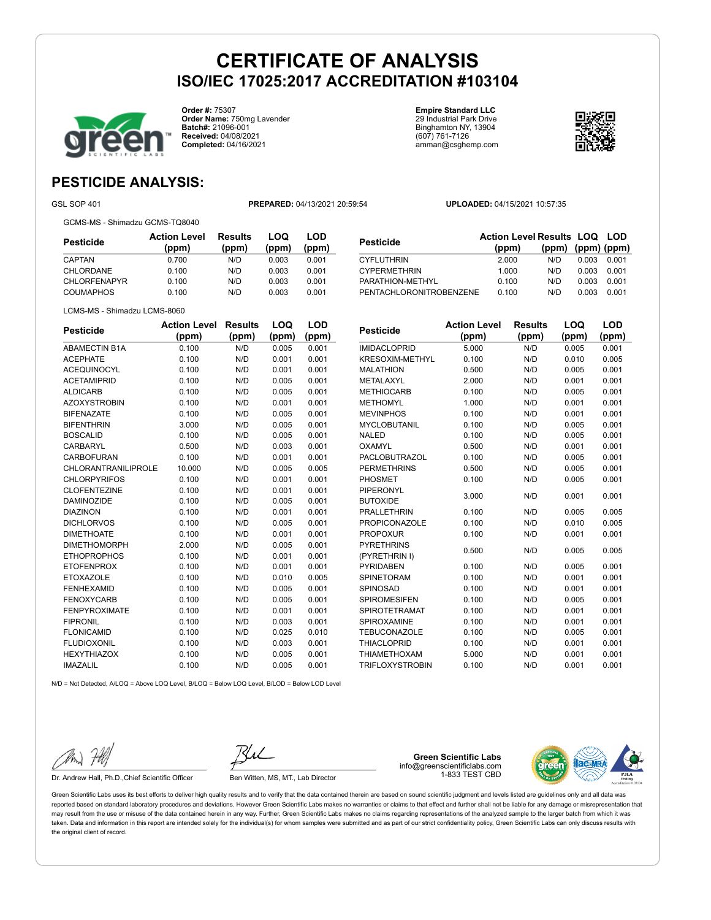

**Order #:** 75307 **Order Name:** 750mg Lavender **Batch#:** 21096-001 **Received:** 04/08/2021 **Completed:** 04/16/2021

**Empire Standard LLC** 29 Industrial Park Drive Binghamton NY, 13904 (607) 761-7126 amman@csghemp.com



### **PESTICIDE ANALYSIS:**

GCMS-MS - Shimadzu GCMS-TQ8040

GSL SOP 401 **PREPARED:** 04/13/2021 20:59:54 **UPLOADED:** 04/15/2021 10:57:35

| Pesticide           | <b>Action Level</b><br>(ppm) | <b>Results</b><br>(ppm) | LOQ<br>(ppm) | LOD<br>(ppm) |
|---------------------|------------------------------|-------------------------|--------------|--------------|
| CAPTAN              | 0.700                        | N/D                     | 0.003        | 0.001        |
| CHLORDANE           | 0.100                        | N/D                     | 0.003        | 0.001        |
| <b>CHLORFENAPYR</b> | 0.100                        | N/D                     | 0.003        | 0.001        |
| <b>COUMAPHOS</b>    | 0.100                        | N/D                     | 0.003        | 0.001        |

| Pesticide               | <b>Action Level Results LOQ LOD</b> |                   |       |       |
|-------------------------|-------------------------------------|-------------------|-------|-------|
|                         | (ppm)                               | (ppm) (ppm) (ppm) |       |       |
| <b>CYFLUTHRIN</b>       | 2.000                               | N/D               | 0.003 | 0.001 |
| <b>CYPERMETHRIN</b>     | 1.000                               | N/D               | 0.003 | 0.001 |
| PARATHION-METHYL        | 0.100                               | N/D               | 0.003 | 0.001 |
| PENTACHLORONITROBENZENE | 0.100                               | N/D               | 0.003 | 0.001 |
|                         |                                     |                   |       |       |

LCMS-MS - Shimadzu LCMS-8060

| <b>Pesticide</b>     | <b>Action Level</b> | Results | LOQ   | LOD   |
|----------------------|---------------------|---------|-------|-------|
|                      | (ppm)               | (ppm)   | (ppm) | (ppm) |
| <b>ABAMECTIN B1A</b> | 0.100               | N/D     | 0.005 | 0.001 |
| <b>ACEPHATE</b>      | 0.100               | N/D     | 0.001 | 0.001 |
| <b>ACEQUINOCYL</b>   | 0.100               | N/D     | 0.001 | 0.001 |
| <b>ACETAMIPRID</b>   | 0.100               | N/D     | 0.005 | 0.001 |
| <b>ALDICARB</b>      | 0.100               | N/D     | 0.005 | 0.001 |
| <b>AZOXYSTROBIN</b>  | 0.100               | N/D     | 0.001 | 0.001 |
| <b>BIFENAZATE</b>    | 0.100               | N/D     | 0.005 | 0.001 |
| <b>BIFENTHRIN</b>    | 3.000               | N/D     | 0.005 | 0.001 |
| <b>BOSCALID</b>      | 0.100               | N/D     | 0.005 | 0.001 |
| CARBARYL             | 0.500               | N/D     | 0.003 | 0.001 |
| CARBOFURAN           | 0.100               | N/D     | 0.001 | 0.001 |
| CHLORANTRANILIPROLE  | 10.000              | N/D     | 0.005 | 0.005 |
| <b>CHLORPYRIFOS</b>  | 0.100               | N/D     | 0.001 | 0.001 |
| <b>CLOFENTEZINE</b>  | 0.100               | N/D     | 0.001 | 0.001 |
| <b>DAMINOZIDE</b>    | 0.100               | N/D     | 0.005 | 0.001 |
| <b>DIAZINON</b>      | 0.100               | N/D     | 0.001 | 0.001 |
| <b>DICHLORVOS</b>    | 0.100               | N/D     | 0.005 | 0.001 |
| <b>DIMETHOATE</b>    | 0.100               | N/D     | 0.001 | 0.001 |
| <b>DIMETHOMORPH</b>  | 2.000               | N/D     | 0.005 | 0.001 |
| <b>ETHOPROPHOS</b>   | 0.100               | N/D     | 0.001 | 0.001 |
| <b>ETOFENPROX</b>    | 0.100               | N/D     | 0.001 | 0.001 |
| <b>ETOXAZOLE</b>     | 0.100               | N/D     | 0.010 | 0.005 |
| <b>FENHEXAMID</b>    | 0.100               | N/D     | 0.005 | 0.001 |
| <b>FENOXYCARB</b>    | 0.100               | N/D     | 0.005 | 0.001 |
| <b>FENPYROXIMATE</b> | 0.100               | N/D     | 0.001 | 0.001 |
| <b>FIPRONIL</b>      | 0.100               | N/D     | 0.003 | 0.001 |
| <b>FLONICAMID</b>    | 0.100               | N/D     | 0.025 | 0.010 |
| <b>FLUDIOXONIL</b>   | 0.100               | N/D     | 0.003 | 0.001 |
| <b>HEXYTHIAZOX</b>   | 0.100               | N/D     | 0.005 | 0.001 |
| <b>IMAZALIL</b>      | 0.100               | N/D     | 0.005 | 0.001 |

| <b>Pesticide</b>       | <b>Action Level</b> | <b>Results</b> | LOQ   | LOD   |
|------------------------|---------------------|----------------|-------|-------|
|                        | (ppm)               | (ppm)          | (ppm) | (ppm) |
| <b>IMIDACLOPRID</b>    | 5.000               | N/D            | 0.005 | 0.001 |
| <b>KRESOXIM-METHYL</b> | 0.100               | N/D            | 0.010 | 0.005 |
| <b>MALATHION</b>       | 0.500               | N/D            | 0.005 | 0.001 |
| METALAXYL              | 2.000               | N/D            | 0.001 | 0.001 |
| <b>METHIOCARB</b>      | 0.100               | N/D            | 0.005 | 0.001 |
| <b>METHOMYL</b>        | 1.000               | N/D            | 0.001 | 0.001 |
| <b>MEVINPHOS</b>       | 0.100               | N/D            | 0.001 | 0.001 |
| <b>MYCLOBUTANIL</b>    | 0.100               | N/D            | 0.005 | 0.001 |
| <b>NALED</b>           | 0.100               | N/D            | 0.005 | 0.001 |
| OXAMYL                 | 0.500               | N/D            | 0.001 | 0.001 |
| PACLOBUTRAZOL          | 0.100               | N/D            | 0.005 | 0.001 |
| <b>PERMETHRINS</b>     | 0.500               | N/D            | 0.005 | 0.001 |
| <b>PHOSMET</b>         | 0.100               | N/D            | 0.005 | 0.001 |
| <b>PIPERONYL</b>       |                     |                |       |       |
| <b>BUTOXIDE</b>        | 3.000               | N/D            | 0.001 | 0.001 |
| <b>PRALLETHRIN</b>     | 0.100               | N/D            | 0.005 | 0.005 |
| <b>PROPICONAZOLE</b>   | 0.100               | N/D            | 0.010 | 0.005 |
| <b>PROPOXUR</b>        | 0.100               | N/D            | 0.001 | 0.001 |
| <b>PYRETHRINS</b>      | 0.500               | N/D            | 0.005 | 0.005 |
| (PYRETHRIN I)          |                     |                |       |       |
| <b>PYRIDABEN</b>       | 0.100               | N/D            | 0.005 | 0.001 |
| <b>SPINETORAM</b>      | 0.100               | N/D            | 0.001 | 0.001 |
| SPINOSAD               | 0.100               | N/D            | 0.001 | 0.001 |
| <b>SPIROMESIFEN</b>    | 0.100               | N/D            | 0.005 | 0.001 |
| <b>SPIROTETRAMAT</b>   | 0.100               | N/D            | 0.001 | 0.001 |
| SPIROXAMINE            | 0.100               | N/D            | 0.001 | 0.001 |
| <b>TEBUCONAZOLE</b>    | 0.100               | N/D            | 0.005 | 0.001 |
| <b>THIACLOPRID</b>     | 0.100               | N/D            | 0.001 | 0.001 |
| <b>THIAMETHOXAM</b>    | 5.000               | N/D            | 0.001 | 0.001 |
| <b>TRIFLOXYSTROBIN</b> | 0.100               | N/D            | 0.001 | 0.001 |

N/D = Not Detected, A/LOQ = Above LOQ Level, B/LOQ = Below LOQ Level, B/LOD = Below LOD Level

Dr. Andrew Hall, Ph.D., Chief Scientific Officer Ben Witten, MS, MT., Lab Director

**Green Scientific Labs** info@greenscientificlabs.com 1-833 TEST CBD

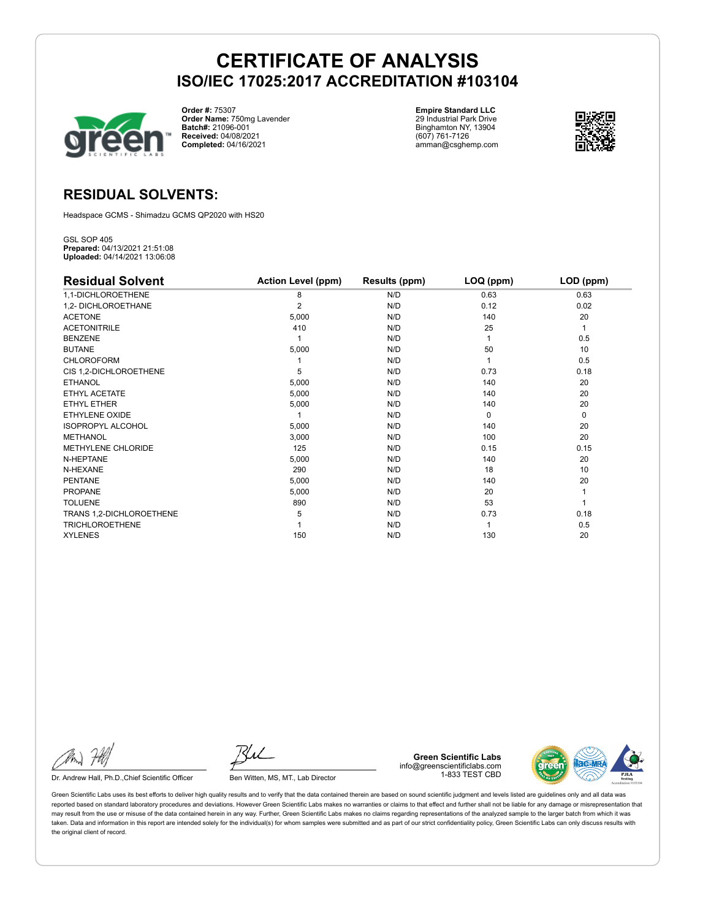

**Order #:** 75307 **Order Name:** 750mg Lavender **Batch#:** 21096-001 **Received:** 04/08/2021 **Completed:** 04/16/2021

**Empire Standard LLC** 29 Industrial Park Drive Binghamton NY, 13904 (607) 761-7126 amman@csghemp.com



### **RESIDUAL SOLVENTS:**

Headspace GCMS - Shimadzu GCMS QP2020 with HS20

GSL SOP 405 **Prepared:** 04/13/2021 21:51:08 **Uploaded:** 04/14/2021 13:06:08

| <b>Residual Solvent</b>   | <b>Action Level (ppm)</b> | Results (ppm) | LOQ (ppm) | LOD (ppm) |
|---------------------------|---------------------------|---------------|-----------|-----------|
| 1,1-DICHLOROETHENE        | 8                         | N/D           | 0.63      | 0.63      |
| 1,2- DICHLOROETHANE       | 2                         | N/D           | 0.12      | 0.02      |
| <b>ACETONE</b>            | 5,000                     | N/D           | 140       | 20        |
| <b>ACETONITRILE</b>       | 410                       | N/D           | 25        | 1         |
| <b>BENZENE</b>            |                           | N/D           |           | 0.5       |
| <b>BUTANE</b>             | 5,000                     | N/D           | 50        | 10        |
| <b>CHLOROFORM</b>         |                           | N/D           |           | 0.5       |
| CIS 1,2-DICHLOROETHENE    | 5                         | N/D           | 0.73      | 0.18      |
| <b>ETHANOL</b>            | 5,000                     | N/D           | 140       | 20        |
| ETHYL ACETATE             | 5,000                     | N/D           | 140       | 20        |
| <b>ETHYL ETHER</b>        | 5,000                     | N/D           | 140       | 20        |
| ETHYLENE OXIDE            |                           | N/D           | $\Omega$  | 0         |
| <b>ISOPROPYL ALCOHOL</b>  | 5,000                     | N/D           | 140       | 20        |
| <b>METHANOL</b>           | 3,000                     | N/D           | 100       | 20        |
| <b>METHYLENE CHLORIDE</b> | 125                       | N/D           | 0.15      | 0.15      |
| N-HEPTANE                 | 5,000                     | N/D           | 140       | 20        |
| N-HEXANE                  | 290                       | N/D           | 18        | 10        |
| <b>PENTANE</b>            | 5,000                     | N/D           | 140       | 20        |
| <b>PROPANE</b>            | 5,000                     | N/D           | 20        |           |
| <b>TOLUENE</b>            | 890                       | N/D           | 53        |           |
| TRANS 1,2-DICHLOROETHENE  | 5                         | N/D           | 0.73      | 0.18      |
| <b>TRICHLOROETHENE</b>    |                           | N/D           |           | 0.5       |
| <b>XYLENES</b>            | 150                       | N/D           | 130       | 20        |

Dr. Andrew Hall, Ph.D., Chief Scientific Officer Ben Witten, MS, MT., Lab Director

**Green Scientific Labs** info@greenscientificlabs.com 1-833 TEST CBD

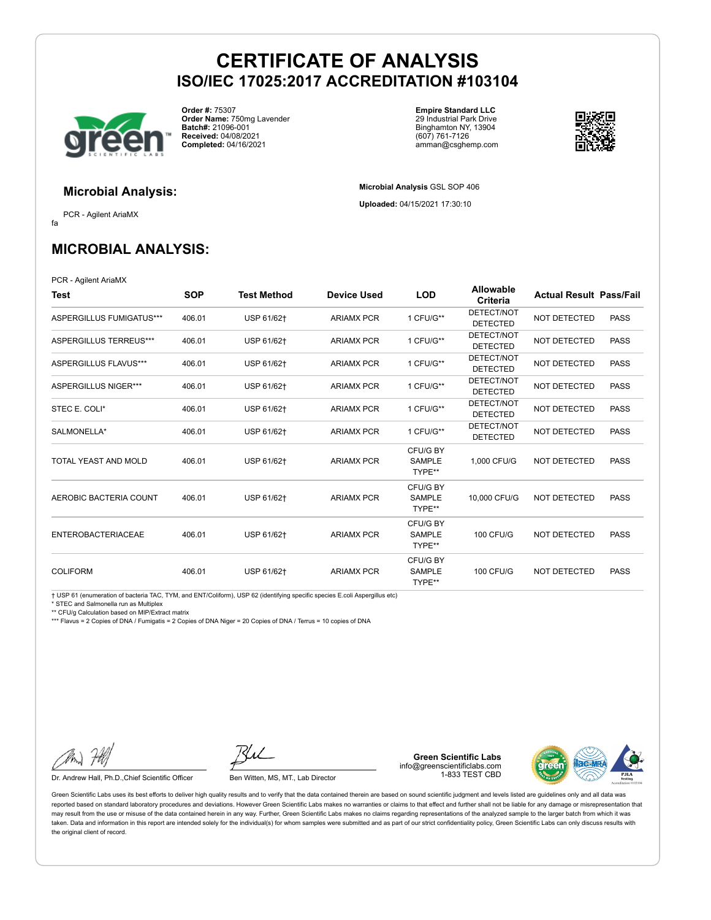

**Order #:** 75307 **Order Name:** 750mg Lavender **Batch#:** 21096-001 **Received:** 04/08/2021 **Completed:** 04/16/2021

**Empire Standard LLC** 29 Industrial Park Drive Binghamton NY, 13904 (607) 761-7126 amman@csghemp.com

**Microbial Analysis** GSL SOP 406 **Uploaded:** 04/15/2021 17:30:10



### **Microbial Analysis:**

fa PCR - Agilent AriaMX

## **MICROBIAL ANALYSIS:**

PCR - Agilent AriaMX

| Test                      | <b>SOP</b> | <b>Test Method</b> | <b>Device Used</b> | <b>LOD</b>                          | Allowable<br>Criteria         | <b>Actual Result Pass/Fail</b> |             |
|---------------------------|------------|--------------------|--------------------|-------------------------------------|-------------------------------|--------------------------------|-------------|
| ASPERGILLUS FUMIGATUS***  | 406.01     | USP 61/62+         | <b>ARIAMX PCR</b>  | 1 CFU/G**                           | DETECT/NOT<br><b>DETECTED</b> | NOT DETECTED                   | <b>PASS</b> |
| ASPERGILLUS TERREUS***    | 406.01     | USP 61/62+         | <b>ARIAMX PCR</b>  | 1 CFU/G**                           | DETECT/NOT<br><b>DETECTED</b> | NOT DETECTED                   | <b>PASS</b> |
| ASPERGILLUS FLAVUS***     | 406.01     | USP 61/62+         | <b>ARIAMX PCR</b>  | 1 CFU/G**                           | DETECT/NOT<br><b>DETECTED</b> | NOT DETECTED                   | <b>PASS</b> |
| ASPERGILLUS NIGER***      | 406.01     | USP 61/62+         | <b>ARIAMX PCR</b>  | 1 CFU/G**                           | DETECT/NOT<br><b>DETECTED</b> | <b>NOT DETECTED</b>            | <b>PASS</b> |
| STEC E. COLI*             | 406.01     | USP 61/62+         | <b>ARIAMX PCR</b>  | 1 CFU/G**                           | DETECT/NOT<br><b>DETECTED</b> | NOT DETECTED                   | <b>PASS</b> |
| SALMONELLA*               | 406.01     | USP 61/62+         | <b>ARIAMX PCR</b>  | 1 CFU/G**                           | DETECT/NOT<br><b>DETECTED</b> | NOT DETECTED                   | <b>PASS</b> |
| TOTAL YEAST AND MOLD      | 406.01     | USP 61/62+         | <b>ARIAMX PCR</b>  | CFU/G BY<br><b>SAMPLE</b><br>TYPE** | 1.000 CFU/G                   | NOT DETECTED                   | <b>PASS</b> |
| AEROBIC BACTERIA COUNT    | 406.01     | USP 61/62+         | <b>ARIAMX PCR</b>  | CFU/G BY<br><b>SAMPLE</b><br>TYPE** | 10,000 CFU/G                  | NOT DETECTED                   | <b>PASS</b> |
| <b>ENTEROBACTERIACEAE</b> | 406.01     | USP 61/62+         | <b>ARIAMX PCR</b>  | CFU/G BY<br><b>SAMPLE</b><br>TYPE** | <b>100 CFU/G</b>              | NOT DETECTED                   | <b>PASS</b> |
| <b>COLIFORM</b>           | 406.01     | USP 61/62+         | <b>ARIAMX PCR</b>  | CFU/G BY<br><b>SAMPLE</b><br>TYPE** | <b>100 CFU/G</b>              | NOT DETECTED                   | <b>PASS</b> |

† USP 61 (enumeration of bacteria TAC, TYM, and ENT/Coliform), USP 62 (identifying specific species E.coli Aspergillus etc)

\* STEC and Salmonella run as Multiplex

\*\* CFU/g Calculation based on MIP/Extract matrix

\*\*\* Flavus = 2 Copies of DNA / Fumigatis = 2 Copies of DNA Niger = 20 Copies of DNA / Terrus = 10 copies of DNA

Dr. Andrew Hall, Ph.D., Chief Scientific Officer Ben Witten, MS, MT., Lab Director

**Green Scientific Labs** info@greenscientificlabs.com 1-833 TEST CBD